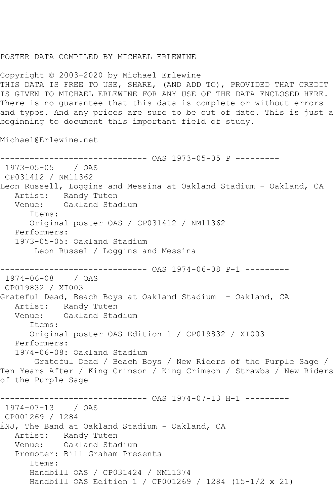## POSTER DATA COMPILED BY MICHAEL ERLEWINE

Copyright © 2003-2020 by Michael Erlewine THIS DATA IS FREE TO USE, SHARE, (AND ADD TO), PROVIDED THAT CREDIT IS GIVEN TO MICHAEL ERLEWINE FOR ANY USE OF THE DATA ENCLOSED HERE. There is no guarantee that this data is complete or without errors and typos. And any prices are sure to be out of date. This is just a beginning to document this important field of study.

Michael@Erlewine.net

```
------------------------------ OAS 1973-05-05 P ---------
1973-05-05 / OAS 
CP031412 / NM11362
Leon Russell, Loggins and Messina at Oakland Stadium - Oakland, CA
   Artist: Randy Tuten
   Venue: Oakland Stadium
      Items:
      Original poster OAS / CP031412 / NM11362
   Performers:
   1973-05-05: Oakland Stadium
       Leon Russel / Loggins and Messina
------------------------------ OAS 1974-06-08 P-1 ---------
1974-06-08 / OAS 
CP019832 / XI003
Grateful Dead, Beach Boys at Oakland Stadium - Oakland, CA
   Artist: Randy Tuten
   Venue: Oakland Stadium
      Items:
      Original poster OAS Edition 1 / CP019832 / XI003
   Performers:
   1974-06-08: Oakland Stadium
       Grateful Dead / Beach Boys / New Riders of the Purple Sage / 
Ten Years After / King Crimson / King Crimson / Strawbs / New Riders 
of the Purple Sage
         ------------------------------ OAS 1974-07-13 H-1 ---------
1974-07-13 / OAS 
CP001269 / 1284
ÈNJ, The Band at Oakland Stadium - Oakland, CA
   Artist: Randy Tuten
   Venue: Oakland Stadium
   Promoter: Bill Graham Presents
      Items:
      Handbill OAS / CP031424 / NM11374
      Handbill OAS Edition 1 / CP001269 / 1284 (15-1/2 x 21)
```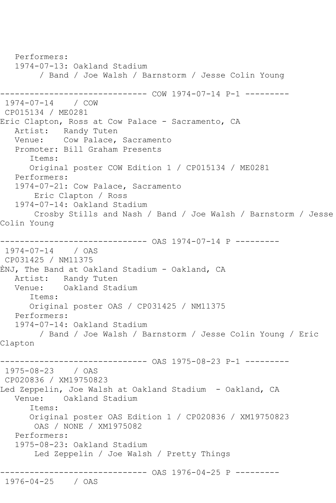Performers: 1974-07-13: Oakland Stadium / Band / Joe Walsh / Barnstorm / Jesse Colin Young ------------------------------ COW 1974-07-14 P-1 --------- 1974-07-14 / COW CP015134 / ME0281 Eric Clapton, Ross at Cow Palace - Sacramento, CA Artist: Randy Tuten Venue: Cow Palace, Sacramento Promoter: Bill Graham Presents Items: Original poster COW Edition 1 / CP015134 / ME0281 Performers: 1974-07-21: Cow Palace, Sacramento Eric Clapton / Ross 1974-07-14: Oakland Stadium Crosby Stills and Nash / Band / Joe Walsh / Barnstorm / Jesse Colin Young ------------------------------ OAS 1974-07-14 P --------- 1974-07-14 / OAS CP031425 / NM11375 ÈNJ, The Band at Oakland Stadium - Oakland, CA Artist: Randy Tuten<br>Venue: Oakland Stad Oakland Stadium Items: Original poster OAS / CP031425 / NM11375 Performers: 1974-07-14: Oakland Stadium / Band / Joe Walsh / Barnstorm / Jesse Colin Young / Eric Clapton ------------------------------ OAS 1975-08-23 P-1 --------- 1975-08-23 / OAS CP020836 / XM19750823 Led Zeppelin, Joe Walsh at Oakland Stadium - Oakland, CA Venue: Oakland Stadium Items: Original poster OAS Edition 1 / CP020836 / XM19750823 OAS / NONE / XM1975082 Performers: 1975-08-23: Oakland Stadium Led Zeppelin / Joe Walsh / Pretty Things ------------------------------ OAS 1976-04-25 P --------- 1976-04-25 / OAS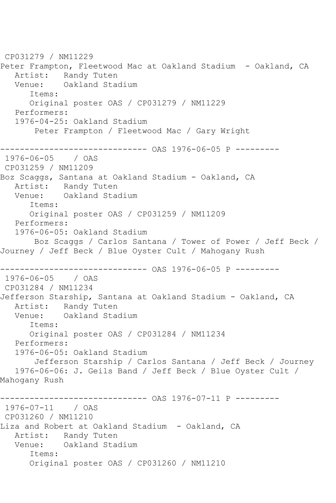CP031279 / NM11229 Peter Frampton, Fleetwood Mac at Oakland Stadium - Oakland, CA Artist: Randy Tuten Venue: Oakland Stadium Items: Original poster OAS / CP031279 / NM11229 Performers: 1976-04-25: Oakland Stadium Peter Frampton / Fleetwood Mac / Gary Wright ------------------------------ OAS 1976-06-05 P --------- 1976-06-05 / OAS CP031259 / NM11209 Boz Scaggs, Santana at Oakland Stadium - Oakland, CA Artist: Randy Tuten Venue: Oakland Stadium Items: Original poster OAS / CP031259 / NM11209 Performers: 1976-06-05: Oakland Stadium Boz Scaggs / Carlos Santana / Tower of Power / Jeff Beck / Journey / Jeff Beck / Blue Oyster Cult / Mahogany Rush ------------------------------ OAS 1976-06-05 P --------- 1976-06-05 / OAS CP031284 / NM11234 Jefferson Starship, Santana at Oakland Stadium - Oakland, CA Artist: Randy Tuten Venue: Oakland Stadium Items: Original poster OAS / CP031284 / NM11234 Performers: 1976-06-05: Oakland Stadium Jefferson Starship / Carlos Santana / Jeff Beck / Journey 1976-06-06: J. Geils Band / Jeff Beck / Blue Oyster Cult / Mahogany Rush ------------------------------ OAS 1976-07-11 P --------- 1976-07-11 / OAS CP031260 / NM11210 Liza and Robert at Oakland Stadium - Oakland, CA Artist: Randy Tuten Venue: Oakland Stadium Items: Original poster OAS / CP031260 / NM11210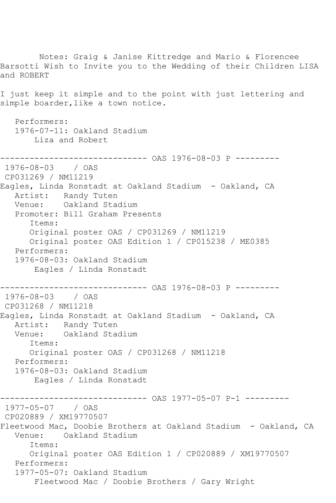Notes: Graig & Janise Kittredge and Mario & Florencee Barsotti Wish to Invite you to the Wedding of their Children LISA and ROBERT I just keep it simple and to the point with just lettering and simple boarder, like a town notice. Performers: 1976-07-11: Oakland Stadium Liza and Robert ------------------------------ OAS 1976-08-03 P --------- 1976-08-03 / OAS CP031269 / NM11219 Eagles, Linda Ronstadt at Oakland Stadium - Oakland, CA Artist: Randy Tuten Venue: Oakland Stadium Promoter: Bill Graham Presents Items: Original poster OAS / CP031269 / NM11219 Original poster OAS Edition 1 / CP015238 / ME0385 Performers: 1976-08-03: Oakland Stadium Eagles / Linda Ronstadt ------------------------------ OAS 1976-08-03 P --------- 1976-08-03 / OAS CP031268 / NM11218 Eagles, Linda Ronstadt at Oakland Stadium - Oakland, CA Artist: Randy Tuten Venue: Oakland Stadium Items: Original poster OAS / CP031268 / NM11218 Performers: 1976-08-03: Oakland Stadium Eagles / Linda Ronstadt ------------------------------ OAS 1977-05-07 P-1 --------- 1977-05-07 / OAS CP020889 / XM19770507 Fleetwood Mac, Doobie Brothers at Oakland Stadium - Oakland, CA Venue: Oakland Stadium Items: Original poster OAS Edition 1 / CP020889 / XM19770507 Performers: 1977-05-07: Oakland Stadium Fleetwood Mac / Doobie Brothers / Gary Wright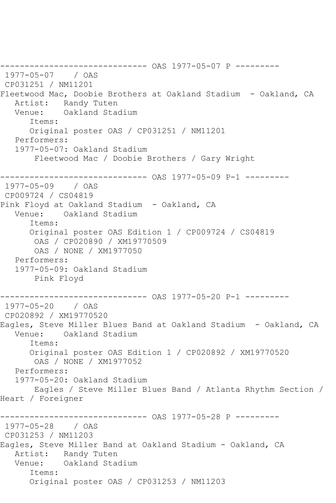------------------------------ OAS 1977-05-07 P --------- 1977-05-07 / OAS CP031251 / NM11201 Fleetwood Mac, Doobie Brothers at Oakland Stadium - Oakland, CA Artist: Randy Tuten Venue: Oakland Stadium Items: Original poster OAS / CP031251 / NM11201 Performers: 1977-05-07: Oakland Stadium Fleetwood Mac / Doobie Brothers / Gary Wright ------------------------------ OAS 1977-05-09 P-1 --------- 1977-05-09 / OAS CP009724 / CS04819 Pink Floyd at Oakland Stadium - Oakland, CA Venue: Oakland Stadium Items: Original poster OAS Edition 1 / CP009724 / CS04819 OAS / CP020890 / XM19770509 OAS / NONE / XM1977050 Performers: 1977-05-09: Oakland Stadium Pink Floyd ------------------------------ OAS 1977-05-20 P-1 --------- 1977-05-20 / OAS CP020892 / XM19770520 Eagles, Steve Miller Blues Band at Oakland Stadium - Oakland, CA Venue: Oakland Stadium Items: Original poster OAS Edition 1 / CP020892 / XM19770520 OAS / NONE / XM1977052 Performers: 1977-05-20: Oakland Stadium Eagles / Steve Miller Blues Band / Atlanta Rhythm Section / Heart / Foreigner ------------------------------ OAS 1977-05-28 P --------- 1977-05-28 / OAS CP031253 / NM11203 Eagles, Steve Miller Band at Oakland Stadium - Oakland, CA Artist: Randy Tuten Venue: Oakland Stadium Items: Original poster OAS / CP031253 / NM11203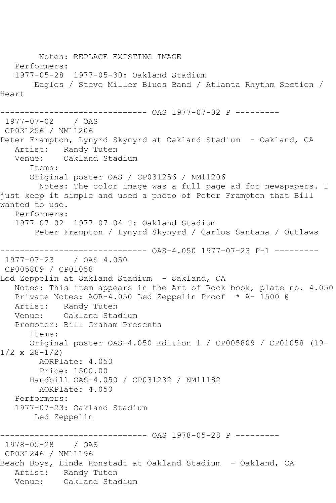Notes: REPLACE EXISTING IMAGE Performers: 1977-05-28 1977-05-30: Oakland Stadium Eagles / Steve Miller Blues Band / Atlanta Rhythm Section / Heart ------------------------------ OAS 1977-07-02 P --------- 1977-07-02 / OAS CP031256 / NM11206 Peter Frampton, Lynyrd Skynyrd at Oakland Stadium - Oakland, CA Artist: Randy Tuten<br>Venue: Oakland Stad Oakland Stadium Items: Original poster OAS / CP031256 / NM11206 Notes: The color image was a full page ad for newspapers. I just keep it simple and used a photo of Peter Frampton that Bill wanted to use. Performers: 1977-07-02 1977-07-04 ?: Oakland Stadium Peter Frampton / Lynyrd Skynyrd / Carlos Santana / Outlaws ------------------------------ OAS-4.050 1977-07-23 P-1 --------- 1977-07-23 / OAS 4.050 CP005809 / CP01058 Led Zeppelin at Oakland Stadium - Oakland, CA Notes: This item appears in the Art of Rock book, plate no. 4.050 Private Notes: AOR-4.050 Led Zeppelin Proof \* A- 1500 @ Artist: Randy Tuten Venue: Oakland Stadium Promoter: Bill Graham Presents Items: Original poster OAS-4.050 Edition 1 / CP005809 / CP01058 (19-  $1/2 \times 28 - 1/2$  AORPlate: 4.050 Price: 1500.00 Handbill OAS-4.050 / CP031232 / NM11182 AORPlate: 4.050 Performers: 1977-07-23: Oakland Stadium Led Zeppelin ----------- OAS 1978-05-28 P ---------1978-05-28 / OAS CP031246 / NM11196 Beach Boys, Linda Ronstadt at Oakland Stadium - Oakland, CA Artist: Randy Tuten<br>Venue: Oakland Stad Oakland Stadium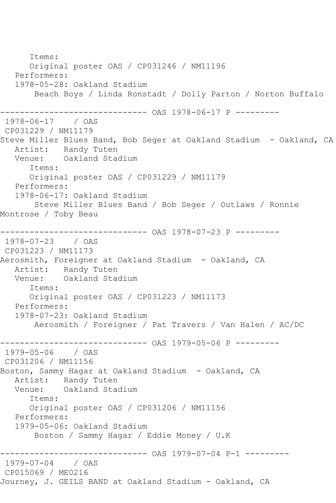Items: Original poster OAS / CP031246 / NM11196 Performers: 1978-05-28: Oakland Stadium Beach Boys / Linda Ronstadt / Dolly Parton / Norton Buffalo ------------------------------ OAS 1978-06-17 P --------- 1978-06-17 / OAS CP031229 / NM11179 Steve Miller Blues Band, Bob Seger at Oakland Stadium - Oakland, CA Artist: Randy Tuten Venue: Oakland Stadium Items: Original poster OAS / CP031229 / NM11179 Performers: 1978-06-17: Oakland Stadium Steve Miller Blues Band / Bob Seger / Outlaws / Ronnie Montrose / Toby Beau ------------------------------ OAS 1978-07-23 P --------- 1978-07-23 / OAS CP031223 / NM11173 Aerosmith, Foreigner at Oakland Stadium - Oakland, CA Artist: Randy Tuten Venue: Oakland Stadium Items: Original poster OAS / CP031223 / NM11173 Performers: 1978-07-23: Oakland Stadium Aerosmith / Foreigner / Pat Travers / Van Halen / AC/DC ------------------------------ OAS 1979-05-06 P --------- 1979-05-06 / OAS CP031206 / NM11156 Boston, Sammy Hagar at Oakland Stadium - Oakland, CA Artist: Randy Tuten<br>Venue: Oakland Stad Oakland Stadium Items: Original poster OAS / CP031206 / NM11156 Performers: 1979-05-06: Oakland Stadium Boston / Sammy Hagar / Eddie Money / U.K ------------------------------ OAS 1979-07-04 P-1 --------- 1979-07-04 CP015069 / ME0216 Journey, J. GEILS BAND at Oakland Stadium - Oakland, CA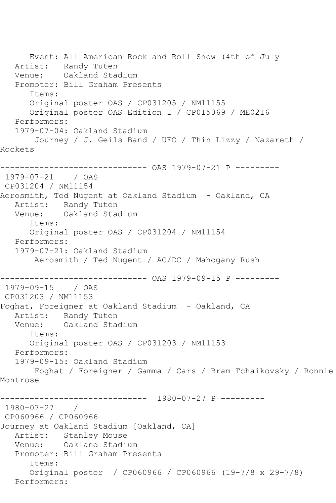Event: All American Rock and Roll Show (4th of July Artist: Randy Tuten Venue: Oakland Stadium Promoter: Bill Graham Presents Items: Original poster OAS / CP031205 / NM11155 Original poster OAS Edition 1 / CP015069 / ME0216 Performers: 1979-07-04: Oakland Stadium Journey / J. Geils Band / UFO / Thin Lizzy / Nazareth / Rockets ------------------------------ OAS 1979-07-21 P --------- 1979-07-21 / OAS CP031204 / NM11154 Aerosmith, Ted Nugent at Oakland Stadium - Oakland, CA Artist: Randy Tuten<br>Venue: Oakland Sta Oakland Stadium Items: Original poster OAS / CP031204 / NM11154 Performers: 1979-07-21: Oakland Stadium Aerosmith / Ted Nugent / AC/DC / Mahogany Rush ------------------------------ OAS 1979-09-15 P --------- 1979-09-15 / OAS CP031203 / NM11153 Foghat, Foreigner at Oakland Stadium - Oakland, CA Artist: Randy Tuten Venue: Oakland Stadium Items: Original poster OAS / CP031203 / NM11153 Performers: 1979-09-15: Oakland Stadium Foghat / Foreigner / Gamma / Cars / Bram Tchaikovsky / Ronnie Montrose ------------------------------ 1980-07-27 P --------- 1980-07-27 / CP060966 / CP060966 Journey at Oakland Stadium [Oakland, CA] Artist: Stanley Mouse Venue: Oakland Stadium Promoter: Bill Graham Presents Items: Original poster / CP060966 / CP060966 (19-7/8 x 29-7/8) Performers: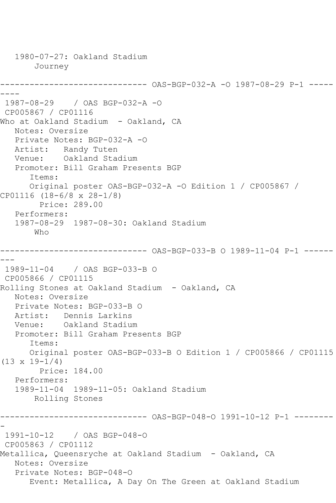```
 1980-07-27: Oakland Stadium
       Journey
          ------------------------------ OAS-BGP-032-A -O 1987-08-29 P-1 -----
----
1987-08-29 / OAS BGP-032-A -O
CP005867 / CP01116
Who at Oakland Stadium - Oakland, CA
   Notes: Oversize
   Private Notes: BGP-032-A -O
 Artist: Randy Tuten
 Venue: Oakland Stadium
   Promoter: Bill Graham Presents BGP
       Items:
      Original poster OAS-BGP-032-A -O Edition 1 / CP005867 / 
CP01116 (18-6/8 x 28-1/8)
        Price: 289.00
   Performers:
   1987-08-29 1987-08-30: Oakland Stadium
       Who
------------------------------ OAS-BGP-033-B O 1989-11-04 P-1 ------
---
1989-11-04 / OAS BGP-033-B O
CP005866 / CP01115
Rolling Stones at Oakland Stadium - Oakland, CA
   Notes: Oversize
   Private Notes: BGP-033-B O
   Artist: Dennis Larkins
   Venue: Oakland Stadium
   Promoter: Bill Graham Presents BGP
       Items:
      Original poster OAS-BGP-033-B O Edition 1 / CP005866 / CP01115 
(13 \times 19 - 1/4) Price: 184.00
   Performers:
   1989-11-04 1989-11-05: Oakland Stadium
       Rolling Stones
------------------------------ OAS-BGP-048-O 1991-10-12 P-1 --------
-
1991-10-12 / OAS BGP-048-O
CP005863 / CP01112
Metallica, Queensryche at Oakland Stadium - Oakland, CA
   Notes: Oversize
   Private Notes: BGP-048-O
      Event: Metallica, A Day On The Green at Oakland Stadium
```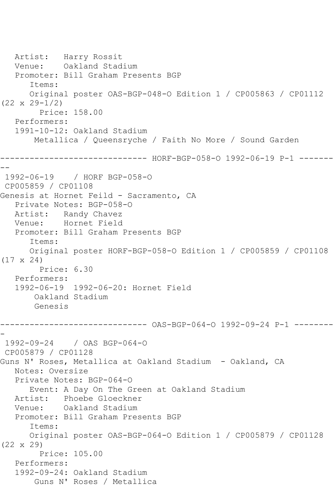Artist: Harry Rossit Venue: Oakland Stadium Promoter: Bill Graham Presents BGP Items: Original poster OAS-BGP-048-O Edition 1 / CP005863 / CP01112 (22 x 29-1/2) Price: 158.00 Performers: 1991-10-12: Oakland Stadium Metallica / Queensryche / Faith No More / Sound Garden ------------------------------ HORF-BGP-058-O 1992-06-19 P-1 ------- -- 1992-06-19 / HORF BGP-058-O CP005859 / CP01108 Genesis at Hornet Feild - Sacramento, CA Private Notes: BGP-058-O Artist: Randy Chavez Venue: Hornet Field Promoter: Bill Graham Presents BGP Items: Original poster HORF-BGP-058-O Edition 1 / CP005859 / CP01108 (17 x 24) Price: 6.30 Performers: 1992-06-19 1992-06-20: Hornet Field Oakland Stadium Genesis ------------------------------ OAS-BGP-064-O 1992-09-24 P-1 -------- - 1992-09-24 / OAS BGP-064-O CP005879 / CP01128 Guns N' Roses, Metallica at Oakland Stadium - Oakland, CA Notes: Oversize Private Notes: BGP-064-O Event: A Day On The Green at Oakland Stadium Artist: Phoebe Gloeckner Venue: Oakland Stadium Promoter: Bill Graham Presents BGP Items: Original poster OAS-BGP-064-O Edition 1 / CP005879 / CP01128 (22 x 29) Price: 105.00 Performers: 1992-09-24: Oakland Stadium Guns N' Roses / Metallica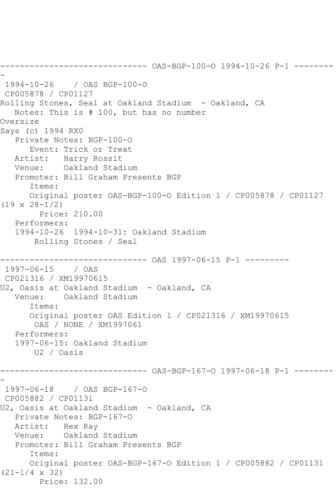------------------------------ OAS-BGP-100-O 1994-10-26 P-1 -------- - 1994-10-26 / OAS BGP-100-O CP005878 / CP01127 Rolling Stones, Seal at Oakland Stadium - Oakland, CA Notes: This is # 100, but has no number Oversize Says (c) 1994 RX0 Private Notes: BGP-100-O Event: Trick or Treat Artist: Harry Rossit Venue: Oakland Stadium Promoter: Bill Graham Presents BGP Items: Original poster OAS-BGP-100-O Edition 1 / CP005878 / CP01127 (19 x 28-1/2) Price: 210.00 Performers: 1994-10-26 1994-10-31: Oakland Stadium Rolling Stones / Seal ------------------------------ OAS 1997-06-15 P-1 --------- 1997-06-15 / OAS CP021316 / XM19970615 U2, Oasis at Oakland Stadium - Oakland, CA<br>Venue: Oakland Stadium Oakland Stadium Items: Original poster OAS Edition 1 / CP021316 / XM19970615 OAS / NONE / XM1997061 Performers: 1997-06-15: Oakland Stadium U2 / Oasis ------------------------------ OAS-BGP-167-O 1997-06-18 P-1 -------- - 1997-06-18 / OAS BGP-167-O CP005882 / CP01131 U2, Oasis at Oakland Stadium - Oakland, CA Private Notes: BGP-167-O Artist: Rex Ray Venue: Oakland Stadium Promoter: Bill Graham Presents BGP Items: Original poster OAS-BGP-167-O Edition 1 / CP005882 / CP01131 (21-1/4 x 32) Price: 132.00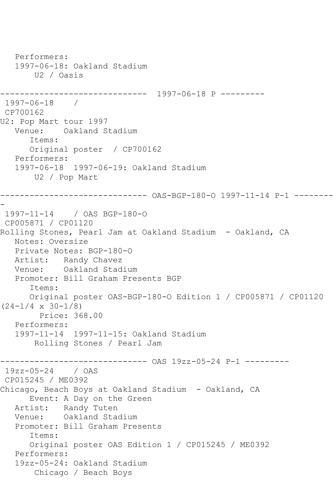```
 Performers:
   1997-06-18: Oakland Stadium
       U2 / Oasis
------------------------------ 1997-06-18 P ---------
1997-06-18 / 
CP700162
U2: Pop Mart tour 1997
   Venue: Oakland Stadium
       Items:
       Original poster / CP700162
   Performers:
   1997-06-18 1997-06-19: Oakland Stadium
       U2 / Pop Mart
------------------------------ OAS-BGP-180-O 1997-11-14 P-1 --------
-
1997-11-14 / OAS BGP-180-O
CP005871 / CP01120
Rolling Stones, Pearl Jam at Oakland Stadium - Oakland, CA
   Notes: Oversize
   Private Notes: BGP-180-O
   Artist: Randy Chavez
   Venue: Oakland Stadium
   Promoter: Bill Graham Presents BGP
       Items:
       Original poster OAS-BGP-180-O Edition 1 / CP005871 / CP01120 
(24-1/4 \times 30-1/8) Price: 368.00
   Performers:
   1997-11-14 1997-11-15: Oakland Stadium
       Rolling Stones / Pearl Jam
------------------------------ OAS 19zz-05-24 P-1 ---------
19zz-05-24 / OAS 
CP015245 / ME0392
Chicago, Beach Boys at Oakland Stadium - Oakland, CA
      Event: A Day on the Green
   Artist: Randy Tuten
   Venue: Oakland Stadium
   Promoter: Bill Graham Presents
       Items:
       Original poster OAS Edition 1 / CP015245 / ME0392
   Performers:
   19zz-05-24: Oakland Stadium
       Chicago / Beach Boys
```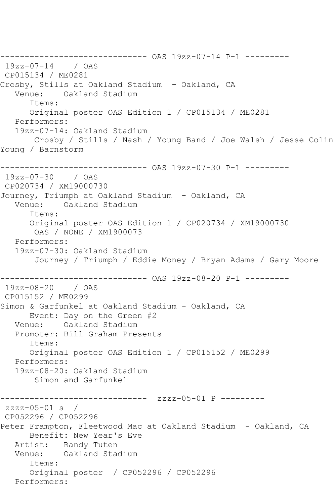------------------------------ OAS 19zz-07-14 P-1 --------- 19zz-07-14 / OAS CP015134 / ME0281 Crosby, Stills at Oakland Stadium - Oakland, CA Venue: Oakland Stadium Items: Original poster OAS Edition 1 / CP015134 / ME0281 Performers: 19zz-07-14: Oakland Stadium Crosby / Stills / Nash / Young Band / Joe Walsh / Jesse Colin Young / Barnstorm ------------------------------ OAS 19zz-07-30 P-1 --------- 19zz-07-30 / OAS CP020734 / XM19000730 Journey, Triumph at Oakland Stadium - Oakland, CA Venue: Oakland Stadium Items: Original poster OAS Edition 1 / CP020734 / XM19000730 OAS / NONE / XM1900073 Performers: 19zz-07-30: Oakland Stadium Journey / Triumph / Eddie Money / Bryan Adams / Gary Moore ------------------------------ OAS 19zz-08-20 P-1 --------- 19zz-08-20 / OAS CP015152 / ME0299 Simon & Garfunkel at Oakland Stadium - Oakland, CA Event: Day on the Green #2 Venue: Oakland Stadium Promoter: Bill Graham Presents Items: Original poster OAS Edition 1 / CP015152 / ME0299 Performers: 19zz-08-20: Oakland Stadium Simon and Garfunkel ------------------------------ zzzz-05-01 P --------  $zzzz-05-01$  s / CP052296 / CP052296 Peter Frampton, Fleetwood Mac at Oakland Stadium - Oakland, CA Benefit: New Year's Eve Artist: Randy Tuten Venue: Oakland Stadium Items: Original poster / CP052296 / CP052296 Performers: